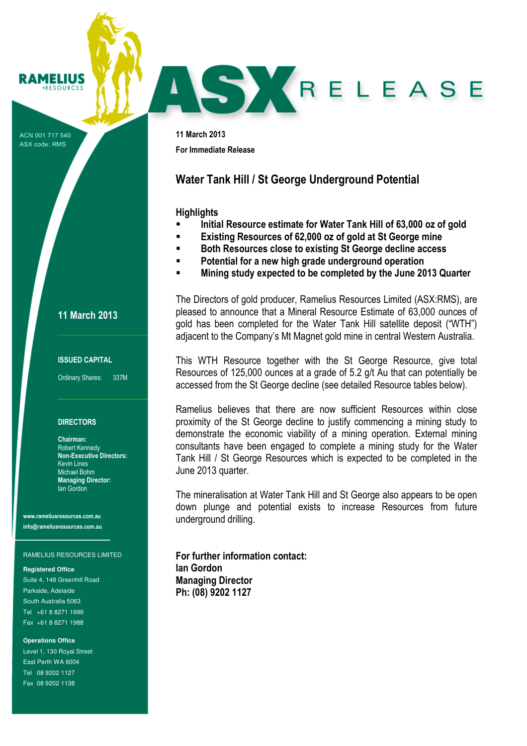#### **RAMELIUS ERSOURCES**

ACN 001 717 540 ASX code: RMS

11 March 2013 For Immediate Release

# Water Tank Hill / St George Underground Potential

### **Highlights**

Initial Resource estimate for Water Tank Hill of 63,000 oz of gold

SY RELEASE

- Existing Resources of 62,000 oz of gold at St George mine
- **Both Resources close to existing St George decline access**
- Potential for a new high grade underground operation
- Mining study expected to be completed by the June 2013 Quarter

The Directors of gold producer, Ramelius Resources Limited (ASX:RMS), are pleased to announce that a Mineral Resource Estimate of 63,000 ounces of gold has been completed for the Water Tank Hill satellite deposit ("WTH") adjacent to the Company's Mt Magnet gold mine in central Western Australia.

This WTH Resource together with the St George Resource, give total Resources of 125,000 ounces at a grade of 5.2 g/t Au that can potentially be accessed from the St George decline (see detailed Resource tables below).

Ramelius believes that there are now sufficient Resources within close proximity of the St George decline to justify commencing a mining study to demonstrate the economic viability of a mining operation. External mining consultants have been engaged to complete a mining study for the Water Tank Hill / St George Resources which is expected to be completed in the June 2013 quarter.

The mineralisation at Water Tank Hill and St George also appears to be open down plunge and potential exists to increase Resources from future underground drilling.

For further information contact: Ian Gordon Managing Director Ph: (08) 9202 1127

11 March 2013

#### ISSUED CAPITAL

Ordinary Shares: 337M

#### **DIRECTORS**

Chairman: Robert Kennedy Non-Executive Directors: Kevin Lines Michael Bohm Managing Director: Ian Gordon

www.rameliusresources.com.au info@rameliusresources.com.au

#### RAMELIUS RESOURCES LIMITED

**Registered Office** 

Suite 4, 148 Greenhill Road Parkside, Adelaide South Australia 5063 Tel +61 8 8271 1999 Fax +61 8 8271 1988

**Operations Office** 

Level 1, 130 Royal Street East Perth WA 6004 Tel 08 9202 1127 Fax 08 9202 1138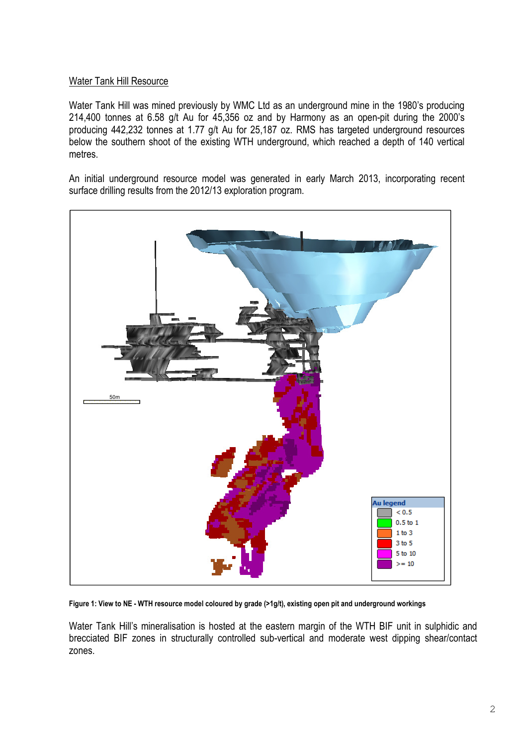# Water Tank Hill Resource

Water Tank Hill was mined previously by WMC Ltd as an underground mine in the 1980's producing 214,400 tonnes at 6.58 g/t Au for 45,356 oz and by Harmony as an open-pit during the 2000's producing 442,232 tonnes at 1.77 g/t Au for 25,187 oz. RMS has targeted underground resources below the southern shoot of the existing WTH underground, which reached a depth of 140 vertical metres.

An initial underground resource model was generated in early March 2013, incorporating recent surface drilling results from the 2012/13 exploration program.



Figure 1: View to NE - WTH resource model coloured by grade (>1g/t), existing open pit and underground workings

Water Tank Hill's mineralisation is hosted at the eastern margin of the WTH BIF unit in sulphidic and brecciated BIF zones in structurally controlled sub-vertical and moderate west dipping shear/contact zones.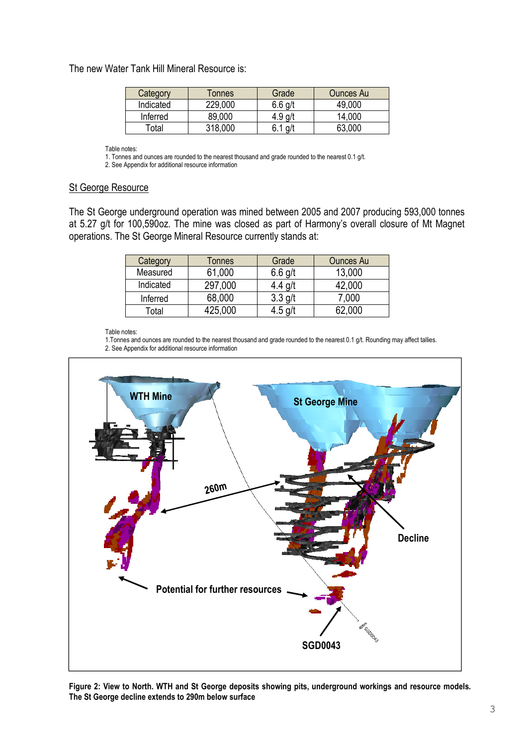# The new Water Tank Hill Mineral Resource is:

| Category  | Tonnes  | Grade   | <b>Ounces Au</b> |
|-----------|---------|---------|------------------|
| Indicated | 229,000 | 6.6 g/t | 49,000           |
| Inferred  | 89,000  | 4.9     | 14.000           |
| Гоtal     | 318 NM  |         | 63,000           |

Table notes:

1. Tonnes and ounces are rounded to the nearest thousand and grade rounded to the nearest 0.1 g/t.

2. See Appendix for additional resource information

## St George Resource

The St George underground operation was mined between 2005 and 2007 producing 593,000 tonnes at 5.27 g/t for 100,590oz. The mine was closed as part of Harmony's overall closure of Mt Magnet operations. The St George Mineral Resource currently stands at:

| Category  | Tonnes  | Grade     | <b>Ounces Au</b> |
|-----------|---------|-----------|------------------|
| Measured  | 61,000  | $6.6$ g/t | 13,000           |
| Indicated | 297,000 | $4.4$ g/t | 42,000           |
| Inferred  | 68,000  | $3.3$ g/t | 7,000            |
| Total     | 425,000 | $4.5$ g/t | 62,000           |

Table notes:

1.Tonnes and ounces are rounded to the nearest thousand and grade rounded to the nearest 0.1 g/t. Rounding may affect tallies. 2. See Appendix for additional resource information



Figure 2: View to North. WTH and St George deposits showing pits, underground workings and resource models. The St George decline extends to 290m below surface